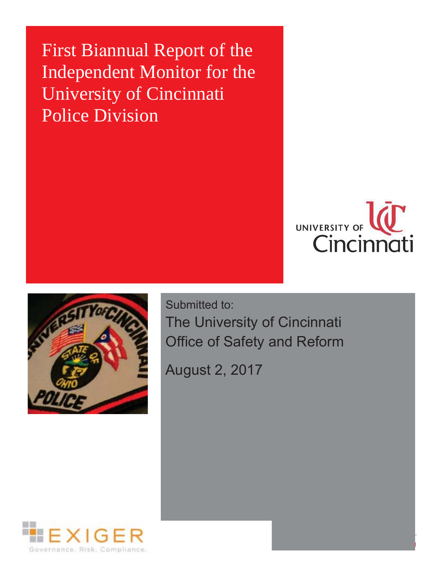First Biannual Report of the Independent Monitor for the University of Cincinnati Police Division





Submitted to: The University of Cincinnati Office of Safety and Reform

August 2, 2017

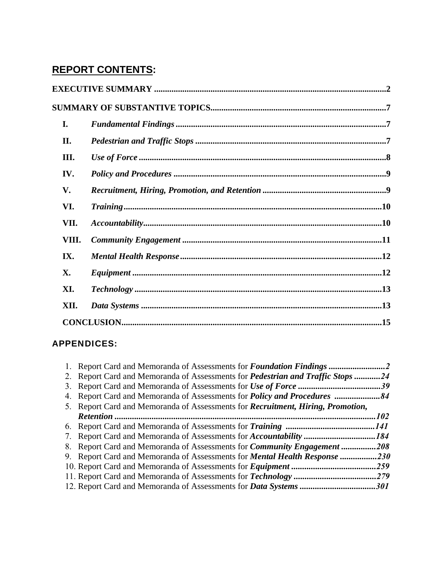# **REPORT CONTENTS:**

| $CONCLUSION. 15$ |  |
|------------------|--|
|                  |  |

# APPENDICES:

| 1. Report Card and Memoranda of Assessments for <i>Foundation Findings</i>              | $\cdot$ . 2       |
|-----------------------------------------------------------------------------------------|-------------------|
| 2. Report Card and Memoranda of Assessments for <i>Pedestrian and Traffic Stops</i>     | 24                |
|                                                                                         | 39                |
|                                                                                         |                   |
| 5. Report Card and Memoranda of Assessments for <i>Recruitment, Hiring, Promotion</i> , |                   |
| Retention                                                                               | 102               |
|                                                                                         | 141               |
|                                                                                         | .184              |
| 8. Report Card and Memoranda of Assessments for <i>Community Engagement</i>             | 208               |
| 9. Report Card and Memoranda of Assessments for <b>Mental Health Response </b>          | .230              |
| 10. Report Card and Memoranda of Assessments for <i>Equipment</i>                       | .259              |
|                                                                                         | .279              |
|                                                                                         | <i><b>301</b></i> |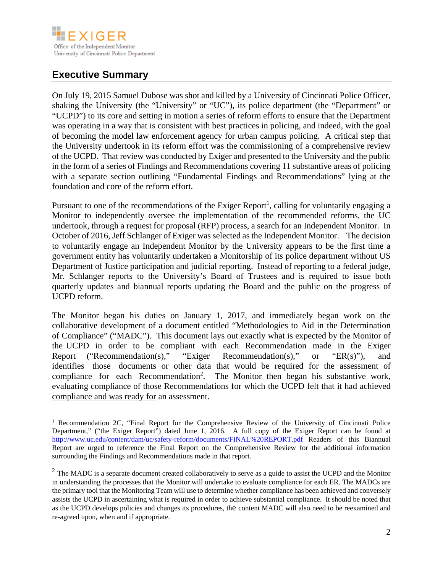

# **Executive Summary**

On July 19, 2015 Samuel Dubose was shot and killed by a University of Cincinnati Police Officer, shaking the University (the "University" or "UC"), its police department (the "Department" or "UCPD") to its core and setting in motion a series of reform efforts to ensure that the Department was operating in a way that is consistent with best practices in policing, and indeed, with the goal of becoming the model law enforcement agency for urban campus policing. A critical step that the University undertook in its reform effort was the commissioning of a comprehensive review of the UCPD. That review was conducted by Exiger and presented to the University and the public in the form of a series of Findings and Recommendations covering 11 substantive areas of policing with a separate section outlining "Fundamental Findings and Recommendations" lying at the foundation and core of the reform effort.

Pursuant to one of the recommendations of the Exiger Report<sup>1</sup>, calling for voluntarily engaging a Monitor to independently oversee the implementation of the recommended reforms, the UC undertook, through a request for proposal (RFP) process, a search for an Independent Monitor. In October of 2016, Jeff Schlanger of Exiger was selected as the Independent Monitor. The decision to voluntarily engage an Independent Monitor by the University appears to be the first time a government entity has voluntarily undertaken a Monitorship of its police department without US Department of Justice participation and judicial reporting. Instead of reporting to a federal judge, Mr. Schlanger reports to the University's Board of Trustees and is required to issue both quarterly updates and biannual reports updating the Board and the public on the progress of UCPD reform.

The Monitor began his duties on January 1, 2017, and immediately began work on the collaborative development of a document entitled "Methodologies to Aid in the Determination of Compliance" ("MADC"). This document lays out exactly what is expected by the Monitor of the UCPD in order to be compliant with each Recommendation made in the Exiger Report ("Recommendation(s)," "Exiger Recommendation(s)," or "ER(s)"), and identifies those documents or other data that would be required for the assessment of compliance for each Recommendation<sup>2</sup>. The Monitor then began his substantive work, evaluating compliance of those Recommendations for which the UCPD felt that it had achieved compliance and was ready for an assessment.

<sup>&</sup>lt;sup>1</sup> Recommendation 2C, "Final Report for the Comprehensive Review of the University of Cincinnati Police Department," ("the Exiger Report") dated June 1, 2016. A full copy of the Exiger Report can be found at http://www.uc.edu/content/dam/uc/safety-reform/documents/FINAL%20REPORT.pdf Readers of this Biannual Report are urged to reference the Final Report on the Comprehensive Review for the additional information surrounding the Findings and Recommendations made in that report.

re-agreed upon, when and if appropriate.  $2$  The MADC is a separate document created collaboratively to serve as a guide to assist the UCPD and the Monitor in understanding the processes that the Monitor will undertake to evaluate compliance for each ER. The MADCs are the primary tool that the Monitoring Team will use to determine whether compliance has been achieved and conversely assists the UCPD in ascertaining what is required in order to achieve substantial compliance. It should be noted that as the UCPD develops policies and changes its procedures, the content MADC will also need to be reexamined and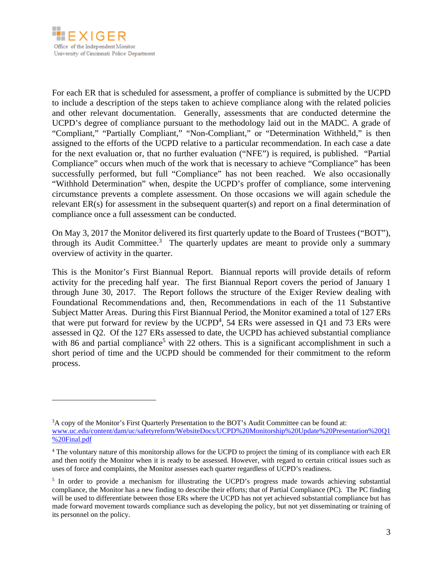

For each ER that is scheduled for assessment, a proffer of compliance is submitted by the UCPD to include a description of the steps taken to achieve compliance along with the related policies and other relevant documentation. Generally, assessments that are conducted determine the UCPD's degree of compliance pursuant to the methodology laid out in the MADC. A grade of "Compliant," "Partially Compliant," "Non-Compliant," or "Determination Withheld," is then assigned to the efforts of the UCPD relative to a particular recommendation. In each case a date for the next evaluation or, that no further evaluation ("NFE") is required, is published. "Partial Compliance" occurs when much of the work that is necessary to achieve "Compliance" has been successfully performed, but full "Compliance" has not been reached. We also occasionally "Withhold Determination" when, despite the UCPD's proffer of compliance, some intervening circumstance prevents a complete assessment. On those occasions we will again schedule the relevant ER(s) for assessment in the subsequent quarter(s) and report on a final determination of compliance once a full assessment can be conducted.

On May 3, 2017 the Monitor delivered its first quarterly update to the Board of Trustees ("BOT"), through its Audit Committee.<sup>3</sup> The quarterly updates are meant to provide only a summary overview of activity in the quarter.

This is the Monitor's First Biannual Report. Biannual reports will provide details of reform activity for the preceding half year. The first Biannual Report covers the period of January 1 through June 30, 2017. The Report follows the structure of the Exiger Review dealing with Foundational Recommendations and, then, Recommendations in each of the 11 Substantive Subject Matter Areas. During this First Biannual Period, the Monitor examined a total of 127 ERs that were put forward for review by the  $UCPD<sup>4</sup>$ , 54 ERs were assessed in Q1 and 73 ERs were assessed in Q2. Of the 127 ERs assessed to date, the UCPD has achieved substantial compliance with 86 and partial compliance<sup>5</sup> with 22 others. This is a significant accomplishment in such a short period of time and the UCPD should be commended for their commitment to the reform process.

<sup>3</sup> A copy of the Monitor's First Quarterly Presentation to the BOT's Audit Committee can be found at: www.uc.edu/content/dam/uc/safetyreform/WebsiteDocs/UCPD%20Monitorship%20Update%20Presentation%20Q1 %20Final.pdf

<sup>4</sup> The voluntary nature of this monitorship allows for the UCPD to project the timing of its compliance with each ER and then notify the Monitor when it is ready to be assessed. However, with regard to certain critical issues such as uses of force and complaints, the Monitor assesses each quarter regardless of UCPD's readiness.

<sup>&</sup>lt;sup>5</sup> In order to provide a mechanism for illustrating the UCPD's progress made towards achieving substantial compliance, the Monitor has a new finding to describe their efforts; that of Partial Compliance (PC). The PC finding will be used to differentiate between those ERs where the UCPD has not yet achieved substantial compliance but has made forward movement towards compliance such as developing the policy, but not yet disseminating or training of its personnel on the policy.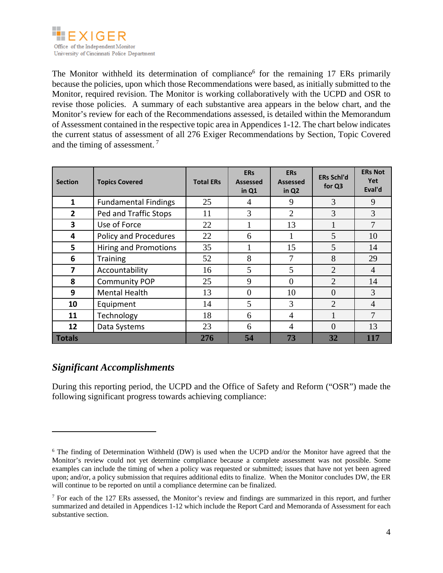

The Monitor withheld its determination of compliance<sup>6</sup> for the remaining 17 ERs primarily because the policies, upon which those Recommendations were based, as initially submitted to the Monitor, required revision. The Monitor is working collaboratively with the UCPD and OSR to revise those policies. A summary of each substantive area appears in the below chart, and the Monitor's review for each of the Recommendations assessed, is detailed within the Memorandum of Assessment contained in the respective topic area in Appendices 1-12. The chart below indicates the current status of assessment of all 276 Exiger Recommendations by Section, Topic Covered and the timing of assessment. 7

| <b>Section</b> | <b>Topics Covered</b>        | <b>Total ERs</b> | <b>ERs</b><br><b>Assessed</b><br>in Q1 | <b>ERs</b><br><b>Assessed</b><br>in Q <sub>2</sub> | <b>ERs Schl'd</b><br>for Q3 | <b>ERs Not</b><br>Yet<br>Eval'd |
|----------------|------------------------------|------------------|----------------------------------------|----------------------------------------------------|-----------------------------|---------------------------------|
| 1              | <b>Fundamental Findings</b>  | 25               | 4                                      | 9                                                  | 3                           | 9                               |
| $\overline{2}$ | Ped and Traffic Stops        | 11               | 3                                      | $\overline{2}$                                     | 3                           | 3                               |
| 3              | Use of Force                 | 22               |                                        | 13                                                 |                             | $\overline{7}$                  |
| 4              | Policy and Procedures        | 22               | 6                                      |                                                    | 5                           | 10                              |
| 5              | <b>Hiring and Promotions</b> | 35               |                                        | 15                                                 | 5                           | 14                              |
| 6              | <b>Training</b>              | 52               | 8                                      | $\tau$                                             | 8                           | 29                              |
| 7              | Accountability               | 16               | 5                                      | 5                                                  | $\overline{2}$              | $\overline{4}$                  |
| 8              | <b>Community POP</b>         | 25               | 9                                      | $\theta$                                           | $\overline{2}$              | 14                              |
| 9              | <b>Mental Health</b>         | 13               | $\theta$                               | 10                                                 | $\Omega$                    | 3                               |
| 10             | Equipment                    | 14               | 5                                      | 3                                                  | $\overline{2}$              | $\overline{4}$                  |
| 11             | Technology                   | 18               | 6                                      | 4                                                  |                             | $\tau$                          |
| 12             | Data Systems                 | 23               | 6                                      | $\overline{4}$                                     | $\Omega$                    | 13                              |
| <b>Totals</b>  |                              | 276              | 54                                     | 73                                                 | 32                          | 117                             |

## *Significant Accomplishments*

During this reporting period, the UCPD and the Office of Safety and Reform ("OSR") made the following significant progress towards achieving compliance:

<sup>&</sup>lt;sup>6</sup> The finding of Determination Withheld (DW) is used when the UCPD and/or the Monitor have agreed that the Monitor's review could not yet determine compliance because a complete assessment was not possible. Some examples can include the timing of when a policy was requested or submitted; issues that have not yet been agreed upon; and/or, a policy submission that requires additional edits to finalize. When the Monitor concludes DW, the ER will continue to be reported on until a compliance determine can be finalized.

<sup>&</sup>lt;sup>7</sup> For each of the 127 ERs assessed, the Monitor's review and findings are summarized in this report, and further summarized and detailed in Appendices 1-12 which include the Report Card and Memoranda of Assessment for each substantive section.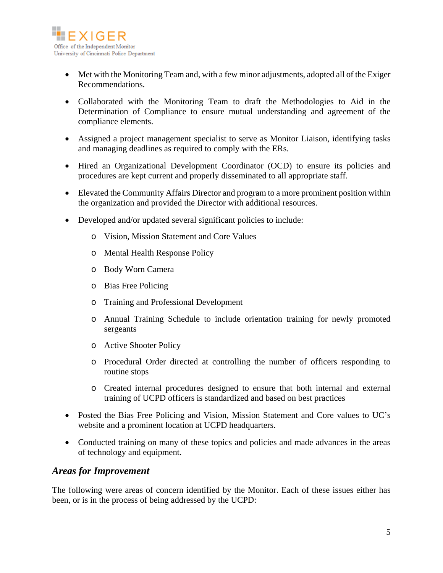

- Met with the Monitoring Team and, with a few minor adjustments, adopted all of the Exiger Recommendations.
- Collaborated with the Monitoring Team to draft the Methodologies to Aid in the Determination of Compliance to ensure mutual understanding and agreement of the compliance elements.
- Assigned a project management specialist to serve as Monitor Liaison, identifying tasks and managing deadlines as required to comply with the ERs.
- Hired an Organizational Development Coordinator (OCD) to ensure its policies and procedures are kept current and properly disseminated to all appropriate staff.
- Elevated the Community Affairs Director and program to a more prominent position within the organization and provided the Director with additional resources.
- Developed and/or updated several significant policies to include:
	- o Vision, Mission Statement and Core Values
	- o Mental Health Response Policy
	- o Body Worn Camera
	- o Bias Free Policing
	- o Training and Professional Development
	- o Annual Training Schedule to include orientation training for newly promoted sergeants
	- o Active Shooter Policy
	- o Procedural Order directed at controlling the number of officers responding to routine stops
	- o Created internal procedures designed to ensure that both internal and external training of UCPD officers is standardized and based on best practices
- Posted the Bias Free Policing and Vision, Mission Statement and Core values to UC's website and a prominent location at UCPD headquarters.
- Conducted training on many of these topics and policies and made advances in the areas of technology and equipment.

#### *Areas for Improvement*

The following were areas of concern identified by the Monitor. Each of these issues either has been, or is in the process of being addressed by the UCPD: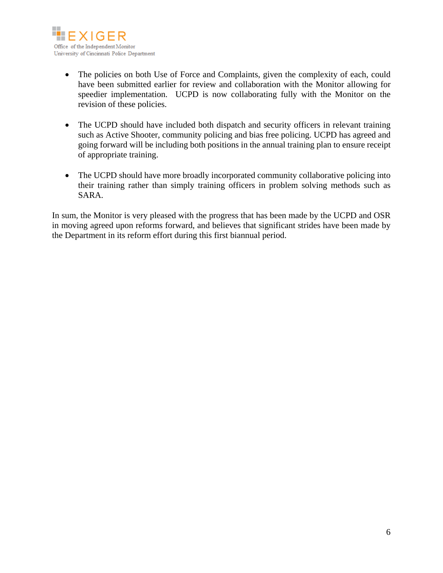

- The policies on both Use of Force and Complaints, given the complexity of each, could have been submitted earlier for review and collaboration with the Monitor allowing for speedier implementation. UCPD is now collaborating fully with the Monitor on the revision of these policies.
- The UCPD should have included both dispatch and security officers in relevant training such as Active Shooter, community policing and bias free policing. UCPD has agreed and going forward will be including both positions in the annual training plan to ensure receipt of appropriate training.
- The UCPD should have more broadly incorporated community collaborative policing into their training rather than simply training officers in problem solving methods such as SARA.

In sum, the Monitor is very pleased with the progress that has been made by the UCPD and OSR in moving agreed upon reforms forward, and believes that significant strides have been made by the Department in its reform effort during this first biannual period.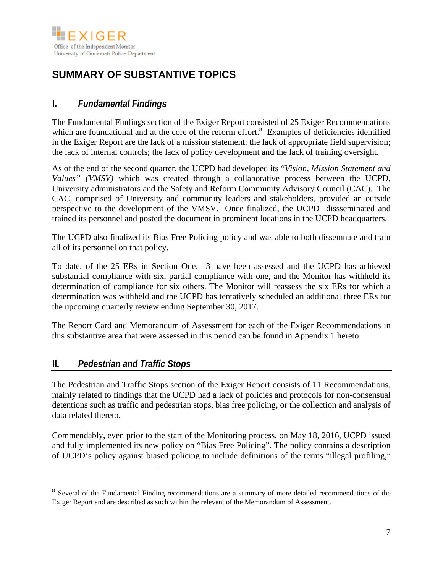

# **SUMMARY OF SUBSTANTIVE TOPICS**

# **I.** *Fundamental Findings*

The Fundamental Findings section of the Exiger Report consisted of 25 Exiger Recommendations which are foundational and at the core of the reform effort.<sup>8</sup> Examples of deficiencies identified in the Exiger Report are the lack of a mission statement; the lack of appropriate field supervision; the lack of internal controls; the lack of policy development and the lack of training oversight.

As of the end of the second quarter, the UCPD had developed its "*Vision, Mission Statement and Values" (VMSV)* which was created through a collaborative process between the UCPD, University administrators and the Safety and Reform Community Advisory Council (CAC). The CAC, comprised of University and community leaders and stakeholders, provided an outside perspective to the development of the VMSV. Once finalized, the UCPD dissseminated and trained its personnel and posted the document in prominent locations in the UCPD headquarters.

The UCPD also finalized its Bias Free Policing policy and was able to both dissemnate and train all of its personnel on that policy.

To date, of the 25 ERs in Section One, 13 have been assessed and the UCPD has achieved substantial compliance with six, partial compliance with one, and the Monitor has withheld its determination of compliance for six others. The Monitor will reassess the six ERs for which a determination was withheld and the UCPD has tentatively scheduled an additional three ERs for the upcoming quarterly review ending September 30, 2017.

The Report Card and Memorandum of Assessment for each of the Exiger Recommendations in this substantive area that were assessed in this period can be found in Appendix 1 hereto.

## **II.** *Pedestrian and Traffic Stops*

 $\overline{a}$ 

The Pedestrian and Traffic Stops section of the Exiger Report consists of 11 Recommendations, mainly related to findings that the UCPD had a lack of policies and protocols for non-consensual detentions such as traffic and pedestrian stops, bias free policing, or the collection and analysis of data related thereto.

Commendably, even prior to the start of the Monitoring process, on May 18, 2016, UCPD issued and fully implemented its new policy on "Bias Free Policing". The policy contains a description of UCPD's policy against biased policing to include definitions of the terms "illegal profiling,"

<sup>8</sup> Several of the Fundamental Finding recommendations are a summary of more detailed recommendations of the Exiger Report and are described as such within the relevant of the Memorandum of Assessment.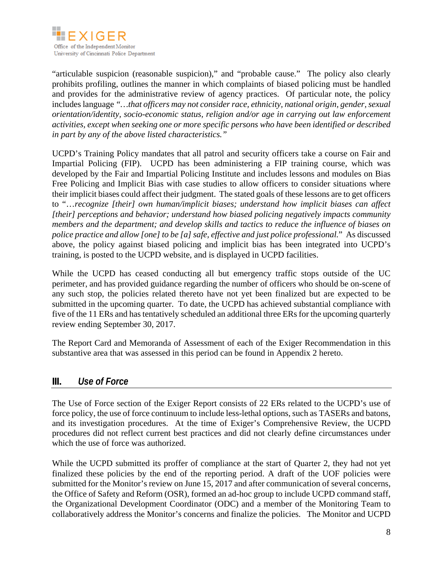

"articulable suspicion (reasonable suspicion)," and "probable cause." The policy also clearly prohibits profiling, outlines the manner in which complaints of biased policing must be handled and provides for the administrative review of agency practices. Of particular note, the policy includes language *"…that officers may not consider race, ethnicity, national origin, gender, sexual orientation/identity, socio-economic status, religion and/or age in carrying out law enforcement activities, except when seeking one or more specific persons who have been identified or described in part by any of the above listed characteristics."*

UCPD's Training Policy mandates that all patrol and security officers take a course on Fair and Impartial Policing (FIP). UCPD has been administering a FIP training course, which was developed by the Fair and Impartial Policing Institute and includes lessons and modules on Bias Free Policing and Implicit Bias with case studies to allow officers to consider situations where their implicit biases could affect their judgment. The stated goals of these lessons are to get officers to "…*recognize [their] own human/implicit biases; understand how implicit biases can affect [their] perceptions and behavior; understand how biased policing negatively impacts community members and the department; and develop skills and tactics to reduce the influence of biases on police practice and allow [one] to be [a] safe, effective and just police professional.*" As discussed above, the policy against biased policing and implicit bias has been integrated into UCPD's training, is posted to the UCPD website, and is displayed in UCPD facilities.

While the UCPD has ceased conducting all but emergency traffic stops outside of the UC perimeter, and has provided guidance regarding the number of officers who should be on-scene of any such stop, the policies related thereto have not yet been finalized but are expected to be submitted in the upcoming quarter. To date, the UCPD has achieved substantial compliance with five of the 11 ERs and has tentatively scheduled an additional three ERs for the upcoming quarterly review ending September 30, 2017.

The Report Card and Memoranda of Assessment of each of the Exiger Recommendation in this substantive area that was assessed in this period can be found in Appendix 2 hereto.

## **III.** *Use of Force*

The Use of Force section of the Exiger Report consists of 22 ERs related to the UCPD's use of force policy, the use of force continuum to include less-lethal options, such as TASERs and batons, and its investigation procedures. At the time of Exiger's Comprehensive Review, the UCPD procedures did not reflect current best practices and did not clearly define circumstances under which the use of force was authorized.

While the UCPD submitted its proffer of compliance at the start of Quarter 2, they had not yet finalized these policies by the end of the reporting period. A draft of the UOF policies were submitted for the Monitor's review on June 15, 2017 and after communication of several concerns, the Office of Safety and Reform (OSR), formed an ad-hoc group to include UCPD command staff, the Organizational Development Coordinator (ODC) and a member of the Monitoring Team to collaboratively address the Monitor's concerns and finalize the policies. The Monitor and UCPD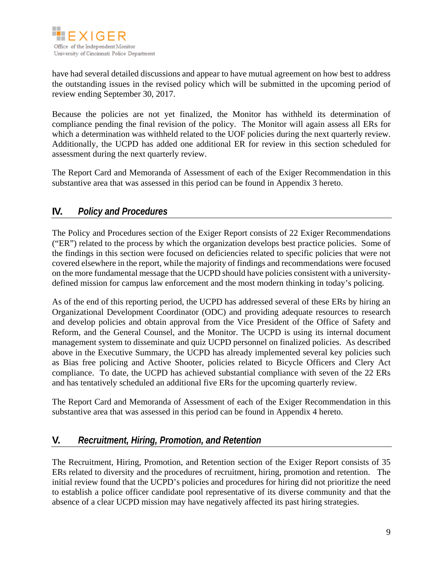

have had several detailed discussions and appear to have mutual agreement on how best to address the outstanding issues in the revised policy which will be submitted in the upcoming period of review ending September 30, 2017.

Because the policies are not yet finalized, the Monitor has withheld its determination of compliance pending the final revision of the policy. The Monitor will again assess all ERs for which a determination was withheld related to the UOF policies during the next quarterly review. Additionally, the UCPD has added one additional ER for review in this section scheduled for assessment during the next quarterly review.

The Report Card and Memoranda of Assessment of each of the Exiger Recommendation in this substantive area that was assessed in this period can be found in Appendix 3 hereto.

# **IV.** *Policy and Procedures*

The Policy and Procedures section of the Exiger Report consists of 22 Exiger Recommendations ("ER") related to the process by which the organization develops best practice policies. Some of the findings in this section were focused on deficiencies related to specific policies that were not covered elsewhere in the report, while the majority of findings and recommendations were focused on the more fundamental message that the UCPD should have policies consistent with a universitydefined mission for campus law enforcement and the most modern thinking in today's policing.

As of the end of this reporting period, the UCPD has addressed several of these ERs by hiring an Organizational Development Coordinator (ODC) and providing adequate resources to research and develop policies and obtain approval from the Vice President of the Office of Safety and Reform, and the General Counsel, and the Monitor. The UCPD is using its internal document management system to disseminate and quiz UCPD personnel on finalized policies. As described above in the Executive Summary, the UCPD has already implemented several key policies such as Bias free policing and Active Shooter, policies related to Bicycle Officers and Clery Act compliance. To date, the UCPD has achieved substantial compliance with seven of the 22 ERs and has tentatively scheduled an additional five ERs for the upcoming quarterly review.

The Report Card and Memoranda of Assessment of each of the Exiger Recommendation in this substantive area that was assessed in this period can be found in Appendix 4 hereto.

## **V.** *Recruitment, Hiring, Promotion, and Retention*

The Recruitment, Hiring, Promotion, and Retention section of the Exiger Report consists of 35 ERs related to diversity and the procedures of recruitment, hiring, promotion and retention. The initial review found that the UCPD's policies and procedures for hiring did not prioritize the need to establish a police officer candidate pool representative of its diverse community and that the absence of a clear UCPD mission may have negatively affected its past hiring strategies.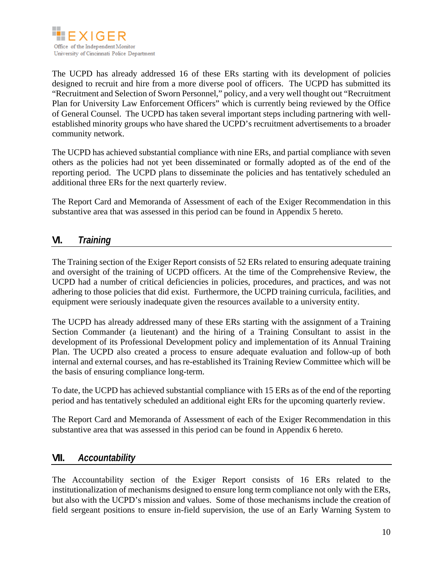

The UCPD has already addressed 16 of these ERs starting with its development of policies designed to recruit and hire from a more diverse pool of officers. The UCPD has submitted its "Recruitment and Selection of Sworn Personnel," policy, and a very well thought out "Recruitment Plan for University Law Enforcement Officers" which is currently being reviewed by the Office of General Counsel. The UCPD has taken several important steps including partnering with wellestablished minority groups who have shared the UCPD's recruitment advertisements to a broader community network.

The UCPD has achieved substantial compliance with nine ERs, and partial compliance with seven others as the policies had not yet been disseminated or formally adopted as of the end of the reporting period. The UCPD plans to disseminate the policies and has tentatively scheduled an additional three ERs for the next quarterly review.

The Report Card and Memoranda of Assessment of each of the Exiger Recommendation in this substantive area that was assessed in this period can be found in Appendix 5 hereto.

## **VI.** *Training*

The Training section of the Exiger Report consists of 52 ERs related to ensuring adequate training and oversight of the training of UCPD officers. At the time of the Comprehensive Review, the UCPD had a number of critical deficiencies in policies, procedures, and practices, and was not adhering to those policies that did exist. Furthermore, the UCPD training curricula, facilities, and equipment were seriously inadequate given the resources available to a university entity.

The UCPD has already addressed many of these ERs starting with the assignment of a Training Section Commander (a lieutenant) and the hiring of a Training Consultant to assist in the development of its Professional Development policy and implementation of its Annual Training Plan. The UCPD also created a process to ensure adequate evaluation and follow-up of both internal and external courses, and has re-established its Training Review Committee which will be the basis of ensuring compliance long-term.

To date, the UCPD has achieved substantial compliance with 15 ERs as of the end of the reporting period and has tentatively scheduled an additional eight ERs for the upcoming quarterly review.

The Report Card and Memoranda of Assessment of each of the Exiger Recommendation in this substantive area that was assessed in this period can be found in Appendix 6 hereto.

#### **VII.** *Accountability*

The Accountability section of the Exiger Report consists of 16 ERs related to the institutionalization of mechanisms designed to ensure long term compliance not only with the ERs, but also with the UCPD's mission and values. Some of those mechanisms include the creation of field sergeant positions to ensure in-field supervision, the use of an Early Warning System to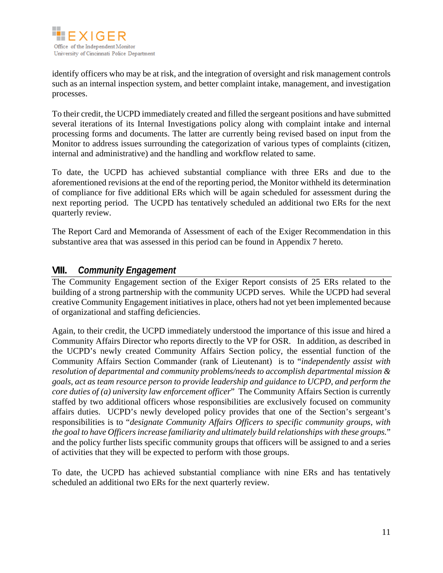

identify officers who may be at risk, and the integration of oversight and risk management controls such as an internal inspection system, and better complaint intake, management, and investigation processes.

To their credit, the UCPD immediately created and filled the sergeant positions and have submitted several iterations of its Internal Investigations policy along with complaint intake and internal processing forms and documents. The latter are currently being revised based on input from the Monitor to address issues surrounding the categorization of various types of complaints (citizen, internal and administrative) and the handling and workflow related to same.

To date, the UCPD has achieved substantial compliance with three ERs and due to the aforementioned revisions at the end of the reporting period, the Monitor withheld its determination of compliance for five additional ERs which will be again scheduled for assessment during the next reporting period. The UCPD has tentatively scheduled an additional two ERs for the next quarterly review.

The Report Card and Memoranda of Assessment of each of the Exiger Recommendation in this substantive area that was assessed in this period can be found in Appendix 7 hereto.

#### **VIII.** *Community Engagement*

The Community Engagement section of the Exiger Report consists of 25 ERs related to the building of a strong partnership with the community UCPD serves. While the UCPD had several creative Community Engagement initiatives in place, others had not yet been implemented because of organizational and staffing deficiencies.

Again, to their credit, the UCPD immediately understood the importance of this issue and hired a Community Affairs Director who reports directly to the VP for OSR. In addition, as described in the UCPD's newly created Community Affairs Section policy, the essential function of the Community Affairs Section Commander (rank of Lieutenant) is to "*independently assist with resolution of departmental and community problems/needs to accomplish departmental mission & goals, act as team resource person to provide leadership and guidance to UCPD, and perform the core duties of (a) university law enforcement officer*" The Community Affairs Section is currently staffed by two additional officers whose responsibilities are exclusively focused on community affairs duties. UCPD's newly developed policy provides that one of the Section's sergeant's responsibilities is to "*designate Community Affairs Officers to specific community groups, with the goal to have Officers increase familiarity and ultimately build relationships with these groups.*" and the policy further lists specific community groups that officers will be assigned to and a series of activities that they will be expected to perform with those groups.

To date, the UCPD has achieved substantial compliance with nine ERs and has tentatively scheduled an additional two ERs for the next quarterly review.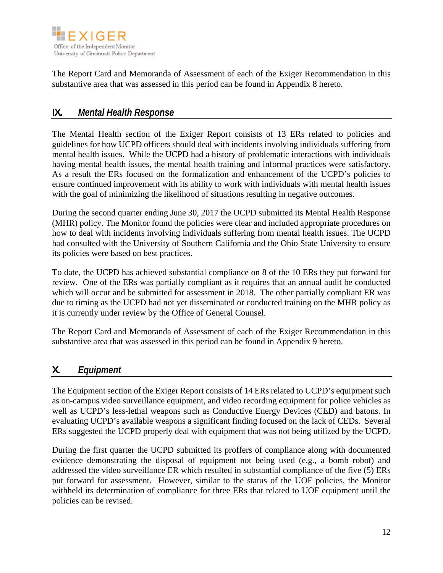

The Report Card and Memoranda of Assessment of each of the Exiger Recommendation in this substantive area that was assessed in this period can be found in Appendix 8 hereto.

#### **IX.** *Mental Health Response*

The Mental Health section of the Exiger Report consists of 13 ERs related to policies and guidelines for how UCPD officers should deal with incidents involving individuals suffering from mental health issues. While the UCPD had a history of problematic interactions with individuals having mental health issues, the mental health training and informal practices were satisfactory. As a result the ERs focused on the formalization and enhancement of the UCPD's policies to ensure continued improvement with its ability to work with individuals with mental health issues with the goal of minimizing the likelihood of situations resulting in negative outcomes.

During the second quarter ending June 30, 2017 the UCPD submitted its Mental Health Response (MHR) policy. The Monitor found the policies were clear and included appropriate procedures on how to deal with incidents involving individuals suffering from mental health issues. The UCPD had consulted with the University of Southern California and the Ohio State University to ensure its policies were based on best practices.

To date, the UCPD has achieved substantial compliance on 8 of the 10 ERs they put forward for review. One of the ERs was partially compliant as it requires that an annual audit be conducted which will occur and be submitted for assessment in 2018. The other partially compliant ER was due to timing as the UCPD had not yet disseminated or conducted training on the MHR policy as it is currently under review by the Office of General Counsel.

The Report Card and Memoranda of Assessment of each of the Exiger Recommendation in this substantive area that was assessed in this period can be found in Appendix 9 hereto.

## **X.** *Equipment*

The Equipment section of the Exiger Report consists of 14 ERs related to UCPD's equipment such as on-campus video surveillance equipment, and video recording equipment for police vehicles as well as UCPD's less-lethal weapons such as Conductive Energy Devices (CED) and batons. In evaluating UCPD's available weapons a significant finding focused on the lack of CEDs. Several ERs suggested the UCPD properly deal with equipment that was not being utilized by the UCPD.

During the first quarter the UCPD submitted its proffers of compliance along with documented evidence demonstrating the disposal of equipment not being used (e.g., a bomb robot) and addressed the video surveillance ER which resulted in substantial compliance of the five (5) ERs put forward for assessment. However, similar to the status of the UOF policies, the Monitor withheld its determination of compliance for three ERs that related to UOF equipment until the policies can be revised.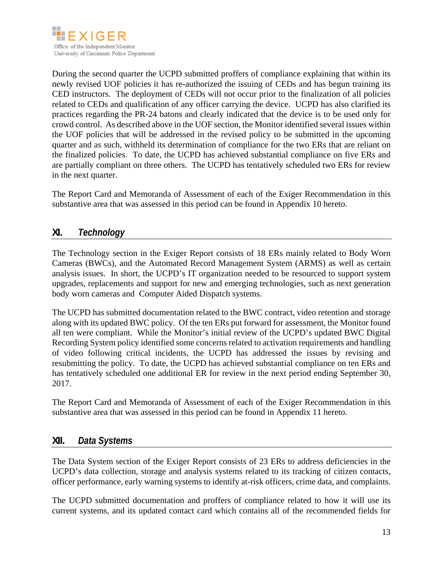

During the second quarter the UCPD submitted proffers of compliance explaining that within its newly revised UOF policies it has re-authorized the issuing of CEDs and has begun training its CED instructors. The deployment of CEDs will not occur prior to the finalization of all policies related to CEDs and qualification of any officer carrying the device. UCPD has also clarified its practices regarding the PR-24 batons and clearly indicated that the device is to be used only for crowd control. As described above in the UOF section, the Monitor identified several issues within the UOF policies that will be addressed in the revised policy to be submitted in the upcoming quarter and as such, withheld its determination of compliance for the two ERs that are reliant on the finalized policies. To date, the UCPD has achieved substantial compliance on five ERs and are partially compliant on three others. The UCPD has tentatively scheduled two ERs for review in the next quarter.

The Report Card and Memoranda of Assessment of each of the Exiger Recommendation in this substantive area that was assessed in this period can be found in Appendix 10 hereto.

## **XI.** *Technology*

The Technology section in the Exiger Report consists of 18 ERs mainly related to Body Worn Cameras (BWCs), and the Automated Record Management System (ARMS) as well as certain analysis issues. In short, the UCPD's IT organization needed to be resourced to support system upgrades, replacements and support for new and emerging technologies, such as next generation body worn cameras and Computer Aided Dispatch systems.

The UCPD has submitted documentation related to the BWC contract, video retention and storage along with its updated BWC policy. Of the ten ERs put forward for assessment, the Monitor found all ten were compliant. While the Monitor's initial review of the UCPD's updated BWC Digital Recording System policy identified some concerns related to activation requirements and handling of video following critical incidents, the UCPD has addressed the issues by revising and resubmitting the policy. To date, the UCPD has achieved substantial compliance on ten ERs and has tentatively scheduled one additional ER for review in the next period ending September 30, 2017.

The Report Card and Memoranda of Assessment of each of the Exiger Recommendation in this substantive area that was assessed in this period can be found in Appendix 11 hereto.

#### **XII.** *Data Systems*

The Data System section of the Exiger Report consists of 23 ERs to address deficiencies in the UCPD's data collection, storage and analysis systems related to its tracking of citizen contacts, officer performance, early warning systems to identify at-risk officers, crime data, and complaints.

The UCPD submitted documentation and proffers of compliance related to how it will use its current systems, and its updated contact card which contains all of the recommended fields for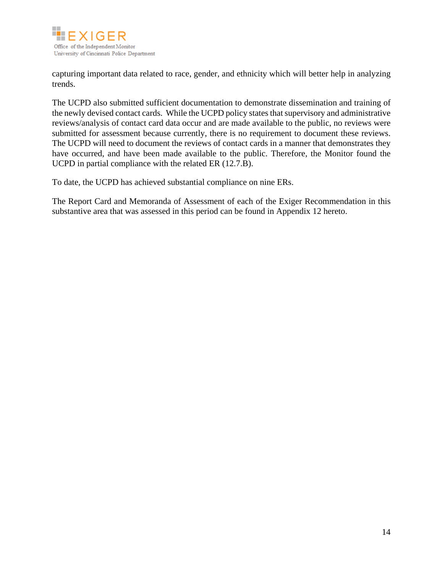

capturing important data related to race, gender, and ethnicity which will better help in analyzing trends.

The UCPD also submitted sufficient documentation to demonstrate dissemination and training of the newly devised contact cards. While the UCPD policy states that supervisory and administrative reviews/analysis of contact card data occur and are made available to the public, no reviews were submitted for assessment because currently, there is no requirement to document these reviews. The UCPD will need to document the reviews of contact cards in a manner that demonstrates they have occurred, and have been made available to the public. Therefore, the Monitor found the UCPD in partial compliance with the related ER (12.7.B).

To date, the UCPD has achieved substantial compliance on nine ERs.

The Report Card and Memoranda of Assessment of each of the Exiger Recommendation in this substantive area that was assessed in this period can be found in Appendix 12 hereto.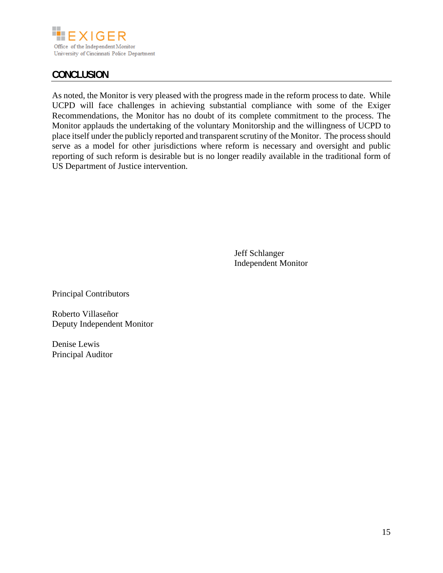

# **CONCLUSION**

As noted, the Monitor is very pleased with the progress made in the reform process to date. While UCPD will face challenges in achieving substantial compliance with some of the Exiger Recommendations, the Monitor has no doubt of its complete commitment to the process. The Monitor applauds the undertaking of the voluntary Monitorship and the willingness of UCPD to place itself under the publicly reported and transparent scrutiny of the Monitor. The process should serve as a model for other jurisdictions where reform is necessary and oversight and public reporting of such reform is desirable but is no longer readily available in the traditional form of US Department of Justice intervention.

> Jeff Schlanger Independent Monitor

Principal Contributors

Roberto Villaseñor Deputy Independent Monitor

Denise Lewis Principal Auditor